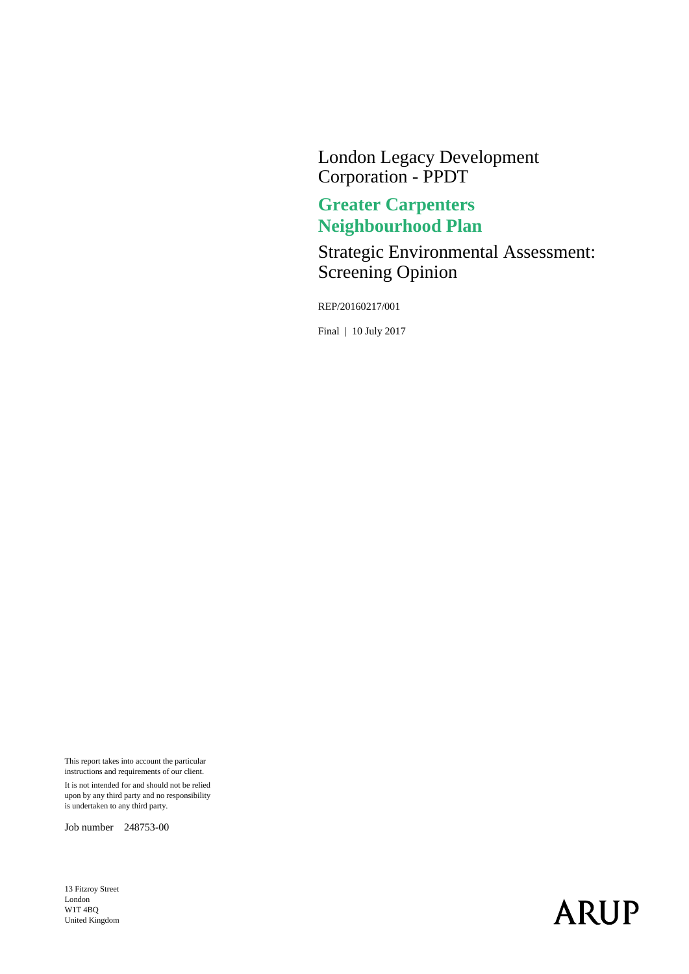London Legacy Development Corporation - PPDT

## **Greater Carpenters Neighbourhood Plan**

Strategic Environmental Assessment: Screening Opinion

REP/20160217/001

Final | 10 July 2017

This report takes into account the particular instructions and requirements of our client.

It is not intended for and should not be relied upon by any third party and no responsibility is undertaken to any third party.

Job number 248753-00

13 Fitzroy Street London W1T 4BQ United Kingdom

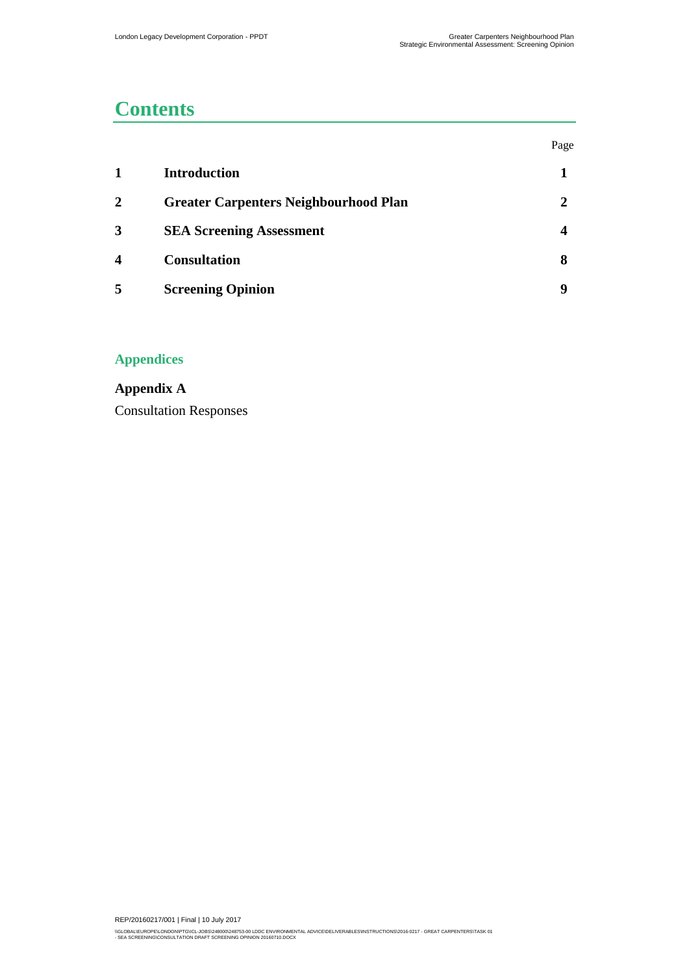## **Contents**

|   |                                              | Page         |
|---|----------------------------------------------|--------------|
| 1 | <b>Introduction</b>                          |              |
| 2 | <b>Greater Carpenters Neighbourhood Plan</b> | $\mathbf{2}$ |
| 3 | <b>SEA Screening Assessment</b>              | 4            |
| 4 | <b>Consultation</b>                          | 8            |
| 5 | <b>Screening Opinion</b>                     | q            |

### **Appendices**

**[Appendix A](#page-11-0)** [Consultation Responses](#page-11-1)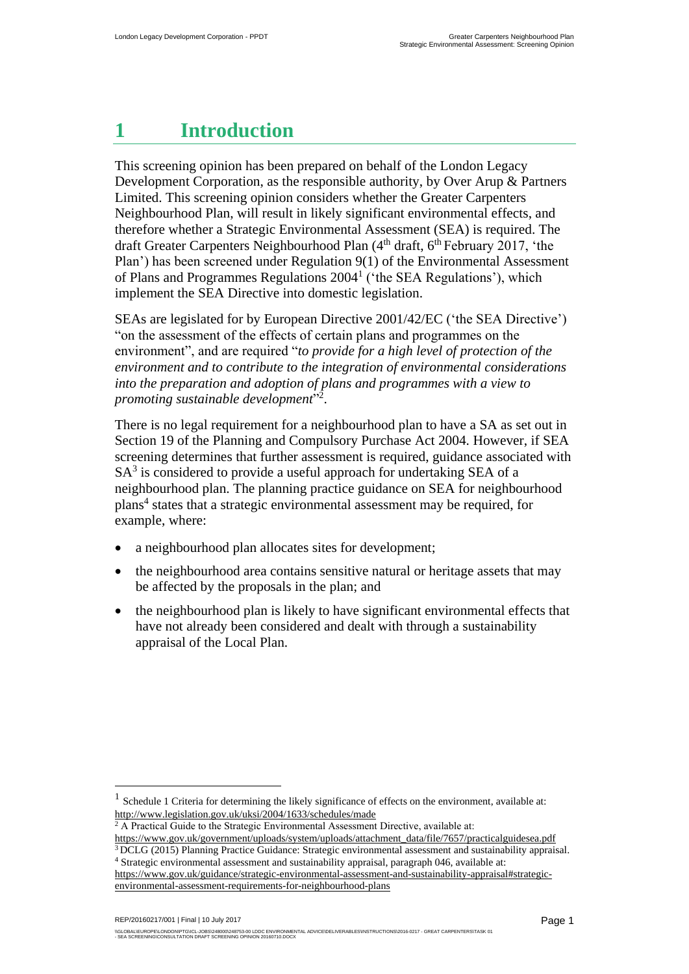## <span id="page-2-0"></span>**1 Introduction**

This screening opinion has been prepared on behalf of the London Legacy Development Corporation, as the responsible authority, by Over Arup & Partners Limited. This screening opinion considers whether the Greater Carpenters Neighbourhood Plan, will result in likely significant environmental effects, and therefore whether a Strategic Environmental Assessment (SEA) is required. The draft Greater Carpenters Neighbourhood Plan  $(4<sup>th</sup> draft, 6<sup>th</sup> February 2017, 'the$ Plan') has been screened under Regulation 9(1) of the Environmental Assessment of Plans and Programmes Regulations 2004<sup>1</sup> ('the SEA Regulations'), which implement the SEA Directive into domestic legislation.

<span id="page-2-1"></span>SEAs are legislated for by European Directive 2001/42/EC ('the SEA Directive') "on the assessment of the effects of certain plans and programmes on the environment", and are required "*to provide for a high level of protection of the environment and to contribute to the integration of environmental considerations into the preparation and adoption of plans and programmes with a view to promoting sustainable development*" 2 .

There is no legal requirement for a neighbourhood plan to have a SA as set out in Section 19 of the Planning and Compulsory Purchase Act 2004. However, if SEA screening determines that further assessment is required, guidance associated with  $SA<sup>3</sup>$  is considered to provide a useful approach for undertaking SEA of a neighbourhood plan. The planning practice guidance on SEA for neighbourhood plans<sup>4</sup> states that a strategic environmental assessment may be required, for example, where:

- a neighbourhood plan allocates sites for development;
- the neighbourhood area contains sensitive natural or heritage assets that may be affected by the proposals in the plan; and
- the neighbourhood plan is likely to have significant environmental effects that have not already been considered and dealt with through a sustainability appraisal of the Local Plan.

REP/20160217/001 | Final | 10 July 2017

<sup>1</sup> Schedule 1 Criteria for determining the likely significance of effects on the environment, available at: <http://www.legislation.gov.uk/uksi/2004/1633/schedules/made>

<sup>&</sup>lt;sup>2</sup> A Practical Guide to the Strategic Environmental Assessment Directive, available at:

[https://www.gov.uk/government/uploads/system/uploads/attachment\\_data/file/7657/practicalguidesea.pdf](https://www.gov.uk/government/uploads/system/uploads/attachment_data/file/7657/practicalguidesea.pdf) <sup>3</sup> DCLG (2015) Planning Practice Guidance: Strategic environmental assessment and sustainability appraisal.

<sup>4</sup> Strategic environmental assessment and sustainability appraisal, paragraph 046, available at: [https://www.gov.uk/guidance/strategic-environmental-assessment-and-sustainability-appraisal#strategic](https://www.gov.uk/guidance/strategic-environmental-assessment-and-sustainability-appraisal#strategic-environmental-assessment-requirements-for-neighbourhood-plans)[environmental-assessment-requirements-for-neighbourhood-plans](https://www.gov.uk/guidance/strategic-environmental-assessment-and-sustainability-appraisal#strategic-environmental-assessment-requirements-for-neighbourhood-plans)

<sup>\\</sup>GLOBAL\EUROPE\LONDON\PTG\ICL-JOBSQ248000\248753-00 LDDC ENVIRONMENTAL ADVICE\DELIVERABLES\INSTRUCTIONS\2016-0217 - GREAT CARPENTERS\TASK 01<br>- SEA SCREENING\CONSULTATION DRAFT SCREENING OPINION 20160710.DOCX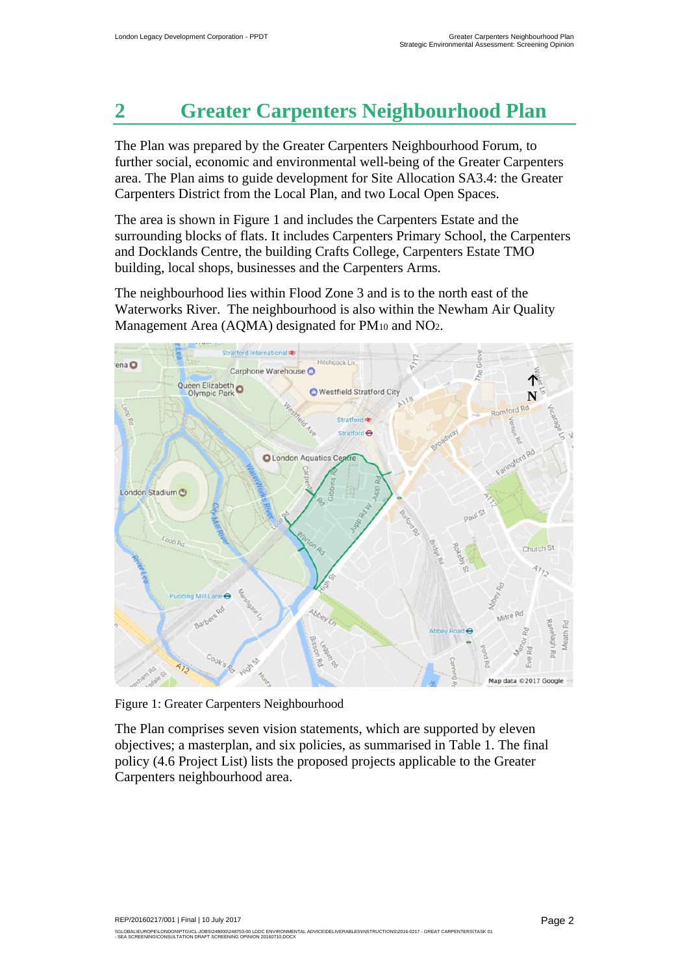# <span id="page-3-0"></span>**2 Greater Carpenters Neighbourhood Plan**

The Plan was prepared by the Greater Carpenters Neighbourhood Forum, to further social, economic and environmental well-being of the Greater Carpenters area. The Plan aims to guide development for Site Allocation SA3.4: the Greater Carpenters District from the Local Plan, and two Local Open Spaces.

The area is shown in [Figure 1](#page-3-1) and includes the Carpenters Estate and the surrounding blocks of flats. It includes Carpenters Primary School, the Carpenters and Docklands Centre, the building Crafts College, Carpenters Estate TMO building, local shops, businesses and the Carpenters Arms.

The neighbourhood lies within Flood Zone 3 and is to the north east of the Waterworks River. The neighbourhood is also within the Newham Air Quality Management Area (AQMA) designated for PM<sub>10</sub> and NO<sub>2</sub>.



Figure 1: Greater Carpenters Neighbourhood

<span id="page-3-1"></span>The Plan comprises seven vision statements, which are supported by eleven objectives; a masterplan, and six policies, as summarised in [Table 1.](#page-4-0) The final policy (4.6 Project List) lists the proposed projects applicable to the Greater Carpenters neighbourhood area.

REP/20160217/001 | Final | 10 July 2017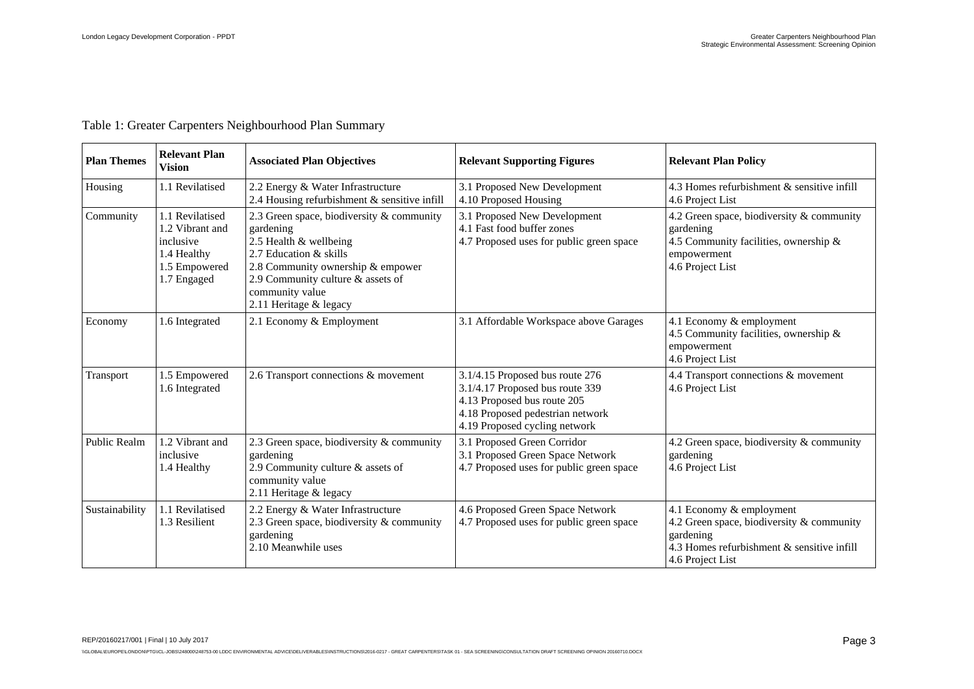| Table 1: Greater Carpenters Neighbourhood Plan Summary |  |
|--------------------------------------------------------|--|
|                                                        |  |

<span id="page-4-0"></span>

| <b>Plan Themes</b> | <b>Relevant Plan</b><br><b>Vision</b>                                                          | <b>Associated Plan Objectives</b>                                                                                                                                                                                                 | <b>Relevant Supporting Figures</b>                                                                                                                                     | <b>Relevant Plan Policy</b>                                                                                                                          |
|--------------------|------------------------------------------------------------------------------------------------|-----------------------------------------------------------------------------------------------------------------------------------------------------------------------------------------------------------------------------------|------------------------------------------------------------------------------------------------------------------------------------------------------------------------|------------------------------------------------------------------------------------------------------------------------------------------------------|
| Housing            | 1.1 Revilatised                                                                                | 2.2 Energy & Water Infrastructure<br>2.4 Housing refurbishment & sensitive infill                                                                                                                                                 | 3.1 Proposed New Development<br>4.10 Proposed Housing                                                                                                                  | 4.3 Homes refurbishment & sensitive infill<br>4.6 Project List                                                                                       |
| Community          | 1.1 Revilatised<br>1.2 Vibrant and<br>inclusive<br>1.4 Healthy<br>1.5 Empowered<br>1.7 Engaged | 2.3 Green space, biodiversity & community<br>gardening<br>2.5 Health & wellbeing<br>2.7 Education & skills<br>2.8 Community ownership & empower<br>2.9 Community culture & assets of<br>community value<br>2.11 Heritage & legacy | 3.1 Proposed New Development<br>4.1 Fast food buffer zones<br>4.7 Proposed uses for public green space                                                                 | 4.2 Green space, biodiversity & community<br>gardening<br>4.5 Community facilities, ownership &<br>empowerment<br>4.6 Project List                   |
| Economy            | 1.6 Integrated                                                                                 | 2.1 Economy & Employment                                                                                                                                                                                                          | 3.1 Affordable Workspace above Garages                                                                                                                                 | 4.1 Economy & employment<br>4.5 Community facilities, ownership &<br>empowerment<br>4.6 Project List                                                 |
| Transport          | 1.5 Empowered<br>1.6 Integrated                                                                | 2.6 Transport connections & movement                                                                                                                                                                                              | 3.1/4.15 Proposed bus route 276<br>3.1/4.17 Proposed bus route 339<br>4.13 Proposed bus route 205<br>4.18 Proposed pedestrian network<br>4.19 Proposed cycling network | 4.4 Transport connections & movement<br>4.6 Project List                                                                                             |
| Public Realm       | 1.2 Vibrant and<br>inclusive<br>1.4 Healthy                                                    | 2.3 Green space, biodiversity & community<br>gardening<br>2.9 Community culture & assets of<br>community value<br>2.11 Heritage & legacy                                                                                          | 3.1 Proposed Green Corridor<br>3.1 Proposed Green Space Network<br>4.7 Proposed uses for public green space                                                            | 4.2 Green space, biodiversity & community<br>gardening<br>4.6 Project List                                                                           |
| Sustainability     | 1.1 Revilatised<br>1.3 Resilient                                                               | 2.2 Energy & Water Infrastructure<br>2.3 Green space, biodiversity & community<br>gardening<br>2.10 Meanwhile uses                                                                                                                | 4.6 Proposed Green Space Network<br>4.7 Proposed uses for public green space                                                                                           | 4.1 Economy & employment<br>4.2 Green space, biodiversity & community<br>gardening<br>4.3 Homes refurbishment & sensitive infill<br>4.6 Project List |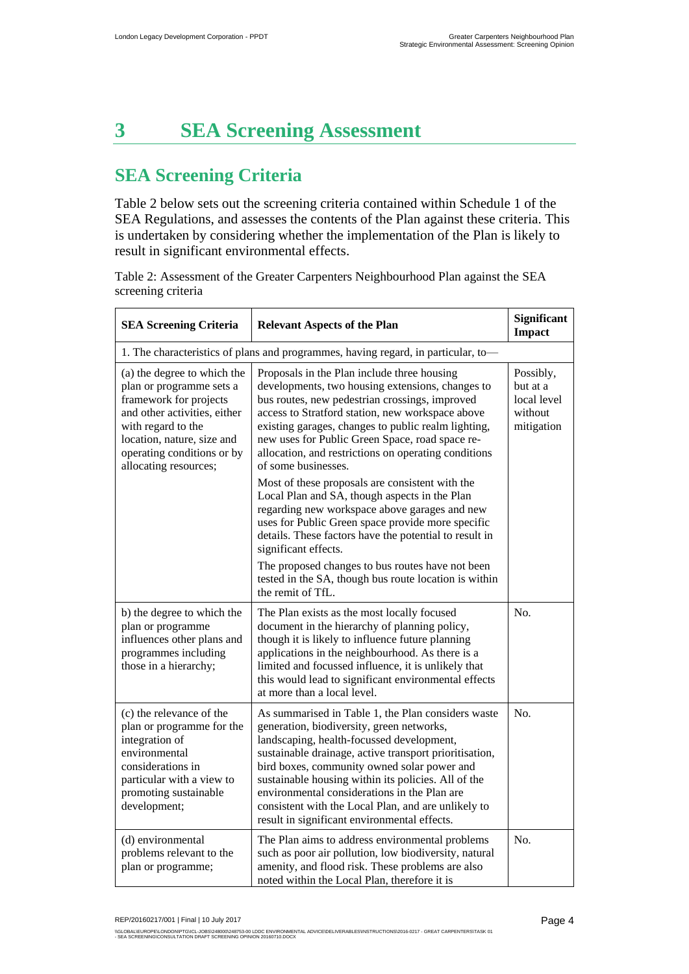## <span id="page-5-0"></span>**3 SEA Screening Assessment**

## **SEA Screening Criteria**

[Table 2](#page-5-1) below sets out the screening criteria contained within Schedule 1 of the SEA Regulations, and assesses the contents of the Plan against these criteria. This is undertaken by considering whether the implementation of the Plan is likely to result in significant environmental effects.

<span id="page-5-1"></span>Table 2: Assessment of the Greater Carpenters Neighbourhood Plan against the SEA screening criteria

| <b>SEA Screening Criteria</b><br><b>Relevant Aspects of the Plan</b>                                                                                                                                                         |                                                                                                                                                                                                                                                                                                                                                                                                                                                                     | Significant<br><b>Impact</b>                                  |  |
|------------------------------------------------------------------------------------------------------------------------------------------------------------------------------------------------------------------------------|---------------------------------------------------------------------------------------------------------------------------------------------------------------------------------------------------------------------------------------------------------------------------------------------------------------------------------------------------------------------------------------------------------------------------------------------------------------------|---------------------------------------------------------------|--|
| 1. The characteristics of plans and programmes, having regard, in particular, to-                                                                                                                                            |                                                                                                                                                                                                                                                                                                                                                                                                                                                                     |                                                               |  |
| (a) the degree to which the<br>plan or programme sets a<br>framework for projects<br>and other activities, either<br>with regard to the<br>location, nature, size and<br>operating conditions or by<br>allocating resources; | Proposals in the Plan include three housing<br>developments, two housing extensions, changes to<br>bus routes, new pedestrian crossings, improved<br>access to Stratford station, new workspace above<br>existing garages, changes to public realm lighting,<br>new uses for Public Green Space, road space re-<br>allocation, and restrictions on operating conditions<br>of some businesses.                                                                      | Possibly,<br>but at a<br>local level<br>without<br>mitigation |  |
|                                                                                                                                                                                                                              | Most of these proposals are consistent with the<br>Local Plan and SA, though aspects in the Plan<br>regarding new workspace above garages and new<br>uses for Public Green space provide more specific<br>details. These factors have the potential to result in<br>significant effects.<br>The proposed changes to bus routes have not been<br>tested in the SA, though bus route location is within<br>the remit of TfL.                                          |                                                               |  |
| b) the degree to which the<br>plan or programme<br>influences other plans and<br>programmes including<br>those in a hierarchy;                                                                                               | The Plan exists as the most locally focused<br>document in the hierarchy of planning policy,<br>though it is likely to influence future planning<br>applications in the neighbourhood. As there is a<br>limited and focussed influence, it is unlikely that<br>this would lead to significant environmental effects<br>at more than a local level.                                                                                                                  | N <sub>0</sub>                                                |  |
| (c) the relevance of the<br>plan or programme for the<br>integration of<br>environmental<br>considerations in<br>particular with a view to<br>promoting sustainable<br>development;                                          | As summarised in Table 1, the Plan considers waste<br>generation, biodiversity, green networks,<br>landscaping, health-focussed development,<br>sustainable drainage, active transport prioritisation,<br>bird boxes, community owned solar power and<br>sustainable housing within its policies. All of the<br>environmental considerations in the Plan are<br>consistent with the Local Plan, and are unlikely to<br>result in significant environmental effects. | N <sub>0</sub>                                                |  |
| (d) environmental<br>problems relevant to the<br>plan or programme;                                                                                                                                                          | The Plan aims to address environmental problems<br>such as poor air pollution, low biodiversity, natural<br>amenity, and flood risk. These problems are also<br>noted within the Local Plan, therefore it is                                                                                                                                                                                                                                                        | No.                                                           |  |

<sup>\\</sup>GLOBAL\EUROPE\LONDON\PTG\ICL-JOBSQ248000\248753-00 LDDC ENVIRONMENTAL ADVICE\DELIVERABLES\INSTRUCTIONS\2016-0217 - GREAT CARPENTERS\TASK 01<br>- SEA SCREENING\CONSULTATION DRAFT SCREENING OPINION 20160710.DOCX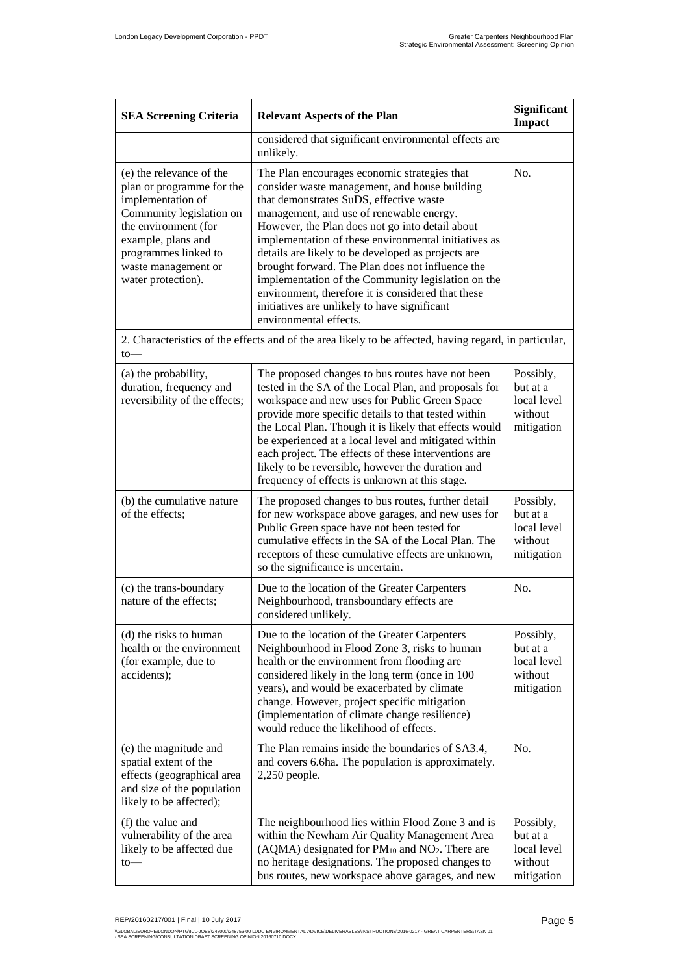| <b>SEA Screening Criteria</b><br><b>Relevant Aspects of the Plan</b>                                                                                                                                                      |                                                                                                                                                                                                                                                                                                                                                                                                                                                                                                                                                                                                 | Significant<br><b>Impact</b>                                  |
|---------------------------------------------------------------------------------------------------------------------------------------------------------------------------------------------------------------------------|-------------------------------------------------------------------------------------------------------------------------------------------------------------------------------------------------------------------------------------------------------------------------------------------------------------------------------------------------------------------------------------------------------------------------------------------------------------------------------------------------------------------------------------------------------------------------------------------------|---------------------------------------------------------------|
|                                                                                                                                                                                                                           | considered that significant environmental effects are<br>unlikely.                                                                                                                                                                                                                                                                                                                                                                                                                                                                                                                              |                                                               |
| (e) the relevance of the<br>plan or programme for the<br>implementation of<br>Community legislation on<br>the environment (for<br>example, plans and<br>programmes linked to<br>waste management or<br>water protection). | The Plan encourages economic strategies that<br>consider waste management, and house building<br>that demonstrates SuDS, effective waste<br>management, and use of renewable energy.<br>However, the Plan does not go into detail about<br>implementation of these environmental initiatives as<br>details are likely to be developed as projects are<br>brought forward. The Plan does not influence the<br>implementation of the Community legislation on the<br>environment, therefore it is considered that these<br>initiatives are unlikely to have significant<br>environmental effects. | No.                                                           |
| to                                                                                                                                                                                                                        | 2. Characteristics of the effects and of the area likely to be affected, having regard, in particular,                                                                                                                                                                                                                                                                                                                                                                                                                                                                                          |                                                               |
| (a) the probability,<br>duration, frequency and<br>reversibility of the effects;                                                                                                                                          | The proposed changes to bus routes have not been<br>tested in the SA of the Local Plan, and proposals for<br>workspace and new uses for Public Green Space<br>provide more specific details to that tested within<br>the Local Plan. Though it is likely that effects would<br>be experienced at a local level and mitigated within<br>each project. The effects of these interventions are<br>likely to be reversible, however the duration and<br>frequency of effects is unknown at this stage.                                                                                              | Possibly,<br>but at a<br>local level<br>without<br>mitigation |
| (b) the cumulative nature<br>of the effects;                                                                                                                                                                              | The proposed changes to bus routes, further detail<br>for new workspace above garages, and new uses for<br>Public Green space have not been tested for<br>cumulative effects in the SA of the Local Plan. The<br>receptors of these cumulative effects are unknown,<br>so the significance is uncertain.                                                                                                                                                                                                                                                                                        | Possibly,<br>but at a<br>local level<br>without<br>mitigation |
| (c) the trans-boundary<br>nature of the effects;                                                                                                                                                                          | Due to the location of the Greater Carpenters<br>Neighbourhood, transboundary effects are<br>considered unlikely.                                                                                                                                                                                                                                                                                                                                                                                                                                                                               | No.                                                           |
| (d) the risks to human<br>health or the environment<br>(for example, due to<br>accidents);                                                                                                                                | Due to the location of the Greater Carpenters<br>Neighbourhood in Flood Zone 3, risks to human<br>health or the environment from flooding are<br>considered likely in the long term (once in 100<br>years), and would be exacerbated by climate<br>change. However, project specific mitigation<br>(implementation of climate change resilience)<br>would reduce the likelihood of effects.                                                                                                                                                                                                     | Possibly,<br>but at a<br>local level<br>without<br>mitigation |
| (e) the magnitude and<br>spatial extent of the<br>effects (geographical area<br>and size of the population<br>likely to be affected);                                                                                     | The Plan remains inside the boundaries of SA3.4,<br>and covers 6.6ha. The population is approximately.<br>$2,250$ people.                                                                                                                                                                                                                                                                                                                                                                                                                                                                       | No.                                                           |
| (f) the value and<br>vulnerability of the area<br>likely to be affected due<br>$to-$                                                                                                                                      | The neighbourhood lies within Flood Zone 3 and is<br>within the Newham Air Quality Management Area<br>(AQMA) designated for $PM_{10}$ and $NO_2$ . There are<br>no heritage designations. The proposed changes to<br>bus routes, new workspace above garages, and new                                                                                                                                                                                                                                                                                                                           | Possibly,<br>but at a<br>local level<br>without<br>mitigation |

<sup>\\</sup>GLOBAL\EUROPE\LONDON\PTG\ICL-JOBSQ248000\248753-00 LDDC ENVIRONMENTAL ADVICE\DELIVERABLES\INSTRUCTIONS\2016-0217 - GREAT CARPENTERS\TASK 01<br>- SEA SCREENING\CONSULTATION DRAFT SCREENING OPINION 20160710.DOCX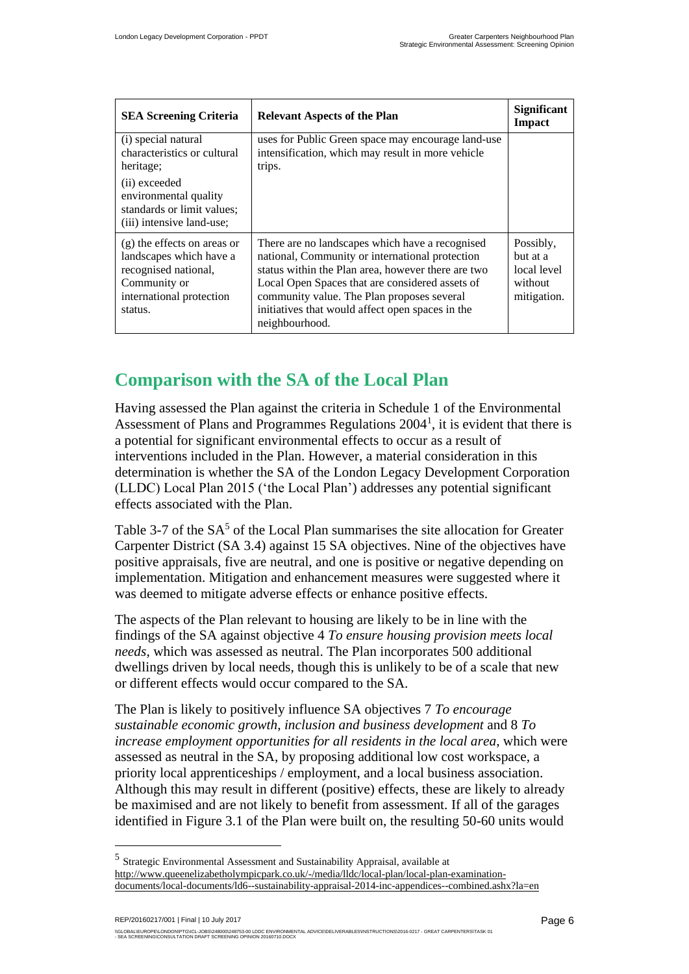| <b>SEA Screening Criteria</b>                                                                                                           | <b>Relevant Aspects of the Plan</b>                                                                                                                                                                                                                                                                                             | <b>Significant</b><br><b>Impact</b>                            |
|-----------------------------------------------------------------------------------------------------------------------------------------|---------------------------------------------------------------------------------------------------------------------------------------------------------------------------------------------------------------------------------------------------------------------------------------------------------------------------------|----------------------------------------------------------------|
| (i) special natural<br>characteristics or cultural<br>heritage;                                                                         | uses for Public Green space may encourage land-use<br>intensification, which may result in more vehicle<br>trips.                                                                                                                                                                                                               |                                                                |
| (ii) exceeded<br>environmental quality<br>standards or limit values;<br>(iii) intensive land-use;                                       |                                                                                                                                                                                                                                                                                                                                 |                                                                |
| $(g)$ the effects on areas or<br>landscapes which have a<br>recognised national,<br>Community or<br>international protection<br>status. | There are no landscapes which have a recognised<br>national, Community or international protection<br>status within the Plan area, however there are two<br>Local Open Spaces that are considered assets of<br>community value. The Plan proposes several<br>initiatives that would affect open spaces in the<br>neighbourhood. | Possibly,<br>but at a<br>local level<br>without<br>mitigation. |

## <span id="page-7-0"></span>**Comparison with the SA of the Local Plan**

Having assessed the Plan against the criteria in Schedule 1 of the Environmental Assessment of Plans and Programmes Regulations 2004<sup>[1](#page-2-1)</sup>, it is evident that there is a potential for significant environmental effects to occur as a result of interventions included in the Plan. However, a material consideration in this determination is whether the SA of the London Legacy Development Corporation (LLDC) Local Plan 2015 ('the Local Plan') addresses any potential significant effects associated with the Plan.

Table 3-7 of the  $SA<sup>5</sup>$  of the Local Plan summarises the site allocation for Greater Carpenter District (SA 3.4) against 15 SA objectives. Nine of the objectives have positive appraisals, five are neutral, and one is positive or negative depending on implementation. Mitigation and enhancement measures were suggested where it was deemed to mitigate adverse effects or enhance positive effects.

The aspects of the Plan relevant to housing are likely to be in line with the findings of the SA against objective 4 *To ensure housing provision meets local needs*, which was assessed as neutral. The Plan incorporates 500 additional dwellings driven by local needs, though this is unlikely to be of a scale that new or different effects would occur compared to the SA.

The Plan is likely to positively influence SA objectives 7 *To encourage sustainable economic growth, inclusion and business development* and 8 *To increase employment opportunities for all residents in the local area*, which were assessed as neutral in the SA, by proposing additional low cost workspace, a priority local apprenticeships / employment, and a local business association. Although this may result in different (positive) effects, these are likely to already be maximised and are not likely to benefit from assessment. If all of the garages identified in Figure 3.1 of the Plan were built on, the resulting 50-60 units would

REP/20160217/001 | Final | 10 July 2017

\\GLOBAL\EUROPE\LONDON\PTG\ICL-JOBSQ248000\248753-00 LDDC ENVIRONMENTAL ADVICE\DELIVERABLES\INSTRUCTIONS\2016-0217 - GREAT CARPENTERS\TASK 01<br>- SEA SCREENING\CONSULTATION DRAFT SCREENING OPINION 20160710.DOCX

<sup>5</sup> Strategic Environmental Assessment and Sustainability Appraisal, available at [http://www.queenelizabetholympicpark.co.uk/-/media/lldc/local-plan/local-plan-examination](http://www.queenelizabetholympicpark.co.uk/-/media/lldc/local-plan/local-plan-examination-documents/local-documents/ld6--sustainability-appraisal-2014-inc-appendices--combined.ashx?la=en)[documents/local-documents/ld6--sustainability-appraisal-2014-inc-appendices--combined.ashx?la=en](http://www.queenelizabetholympicpark.co.uk/-/media/lldc/local-plan/local-plan-examination-documents/local-documents/ld6--sustainability-appraisal-2014-inc-appendices--combined.ashx?la=en)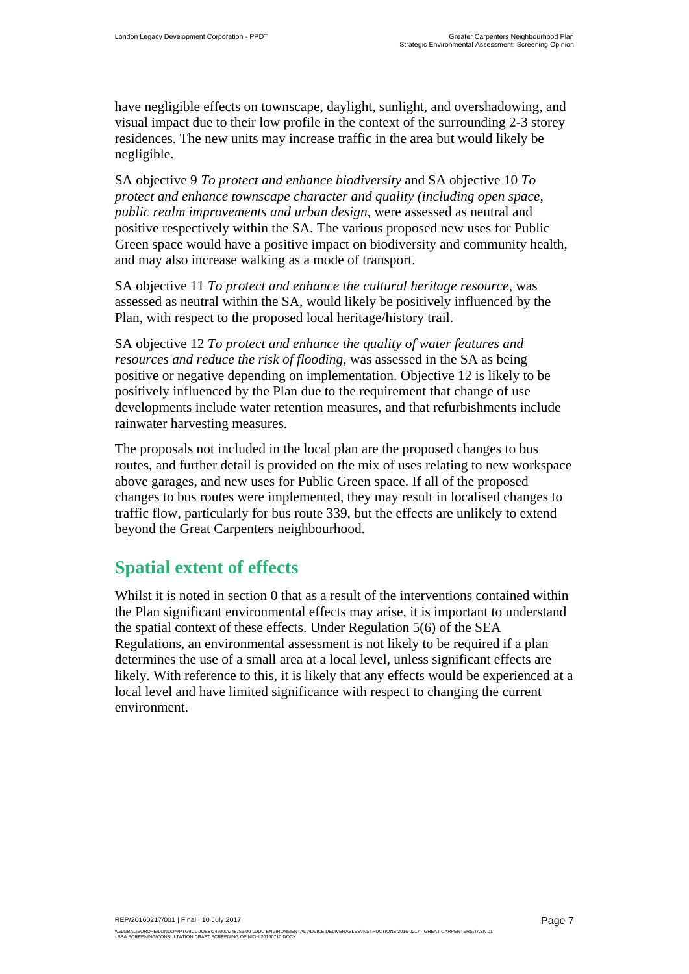have negligible effects on townscape, daylight, sunlight, and overshadowing, and visual impact due to their low profile in the context of the surrounding 2-3 storey residences. The new units may increase traffic in the area but would likely be negligible.

SA objective 9 *To protect and enhance biodiversity* and SA objective 10 *To protect and enhance townscape character and quality (including open space, public realm improvements and urban design*, were assessed as neutral and positive respectively within the SA. The various proposed new uses for Public Green space would have a positive impact on biodiversity and community health, and may also increase walking as a mode of transport.

SA objective 11 *To protect and enhance the cultural heritage resource*, was assessed as neutral within the SA, would likely be positively influenced by the Plan, with respect to the proposed local heritage/history trail.

SA objective 12 *To protect and enhance the quality of water features and resources and reduce the risk of flooding*, was assessed in the SA as being positive or negative depending on implementation. Objective 12 is likely to be positively influenced by the Plan due to the requirement that change of use developments include water retention measures, and that refurbishments include rainwater harvesting measures.

The proposals not included in the local plan are the proposed changes to bus routes, and further detail is provided on the mix of uses relating to new workspace above garages, and new uses for Public Green space. If all of the proposed changes to bus routes were implemented, they may result in localised changes to traffic flow, particularly for bus route 339, but the effects are unlikely to extend beyond the Great Carpenters neighbourhood.

### **Spatial extent of effects**

Whilst it is noted in section [0](#page-7-0) that as a result of the interventions contained within the Plan significant environmental effects may arise, it is important to understand the spatial context of these effects. Under Regulation 5(6) of the SEA Regulations, an environmental assessment is not likely to be required if a plan determines the use of a small area at a local level, unless significant effects are likely. With reference to this, it is likely that any effects would be experienced at a local level and have limited significance with respect to changing the current environment.

\\GLOBAL\EUROPE\LONDON\PTG\ICL-JOBSQ248000\248753-00 LDDC ENVIRONMENTAL ADVICE\DELIVERABLES\INSTRUCTIONS\2016-0217 - GREAT CARPENTERS\TASK 01<br>- SEA SCREENING\CONSULTATION DRAFT SCREENING OPINION 20160710.DOCX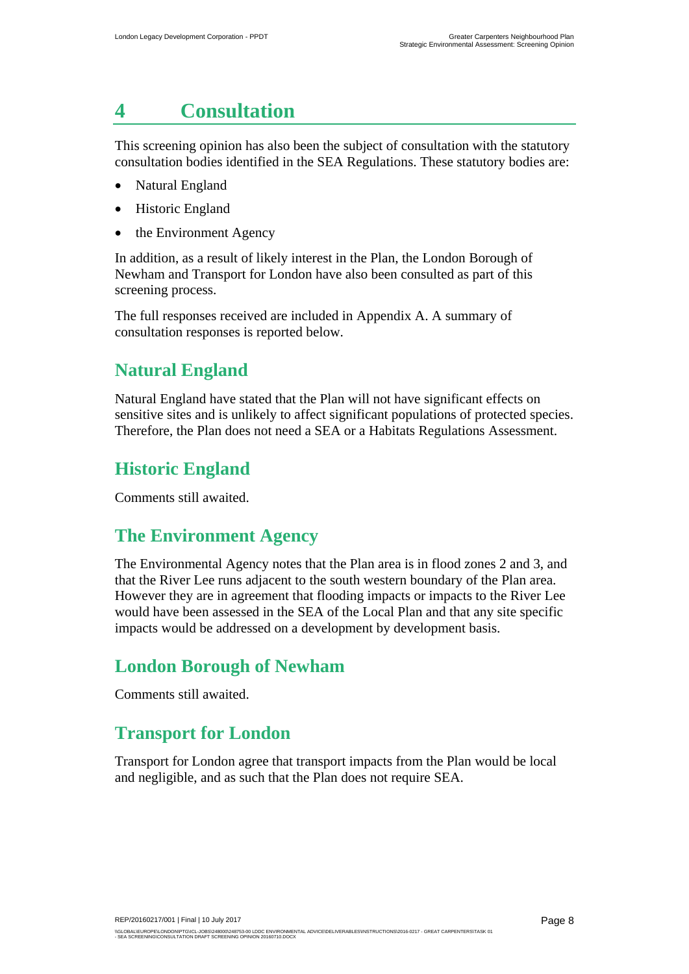## <span id="page-9-0"></span>**4 Consultation**

This screening opinion has also been the subject of consultation with the statutory consultation bodies identified in the SEA Regulations. These statutory bodies are:

- Natural England
- Historic England
- the Environment Agency

In addition, as a result of likely interest in the Plan, the London Borough of Newham and Transport for London have also been consulted as part of this screening process.

The full responses received are included in [Appendix A.](#page-11-0) A summary of consultation responses is reported below.

## **Natural England**

Natural England have stated that the Plan will not have significant effects on sensitive sites and is unlikely to affect significant populations of protected species. Therefore, the Plan does not need a SEA or a Habitats Regulations Assessment.

### **Historic England**

Comments still awaited.

### **The Environment Agency**

The Environmental Agency notes that the Plan area is in flood zones 2 and 3, and that the River Lee runs adjacent to the south western boundary of the Plan area. However they are in agreement that flooding impacts or impacts to the River Lee would have been assessed in the SEA of the Local Plan and that any site specific impacts would be addressed on a development by development basis.

### **London Borough of Newham**

Comments still awaited.

### **Transport for London**

Transport for London agree that transport impacts from the Plan would be local and negligible, and as such that the Plan does not require SEA.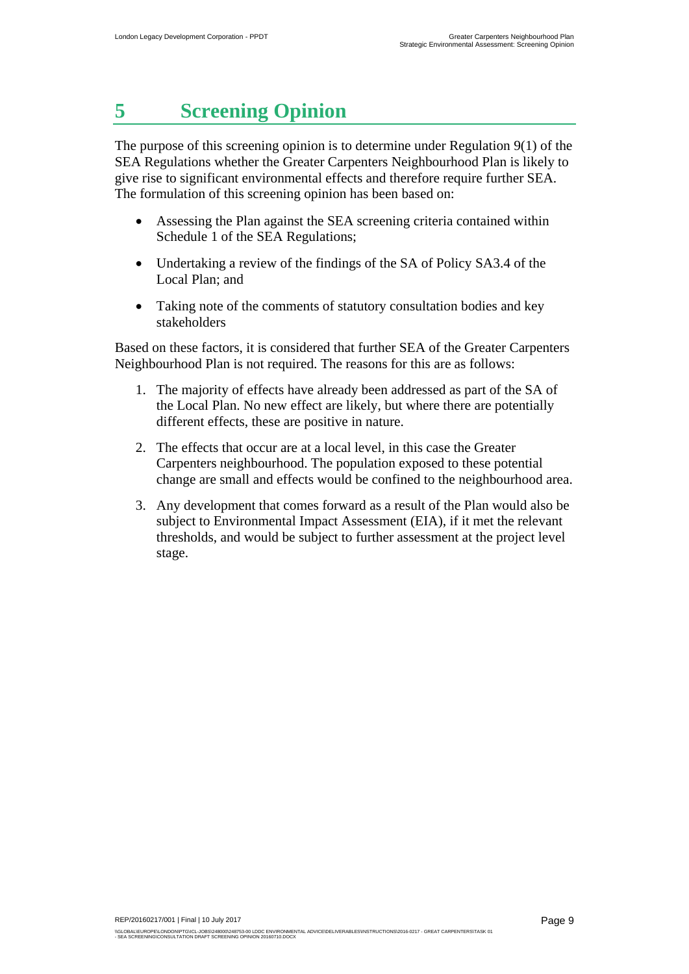## <span id="page-10-0"></span>**5 Screening Opinion**

The purpose of this screening opinion is to determine under Regulation 9(1) of the SEA Regulations whether the Greater Carpenters Neighbourhood Plan is likely to give rise to significant environmental effects and therefore require further SEA. The formulation of this screening opinion has been based on:

- Assessing the Plan against the SEA screening criteria contained within Schedule 1 of the SEA Regulations;
- Undertaking a review of the findings of the SA of Policy SA3.4 of the Local Plan; and
- Taking note of the comments of statutory consultation bodies and key stakeholders

Based on these factors, it is considered that further SEA of the Greater Carpenters Neighbourhood Plan is not required. The reasons for this are as follows:

- 1. The majority of effects have already been addressed as part of the SA of the Local Plan. No new effect are likely, but where there are potentially different effects, these are positive in nature.
- 2. The effects that occur are at a local level, in this case the Greater Carpenters neighbourhood. The population exposed to these potential change are small and effects would be confined to the neighbourhood area.
- 3. Any development that comes forward as a result of the Plan would also be subject to Environmental Impact Assessment (EIA), if it met the relevant thresholds, and would be subject to further assessment at the project level stage.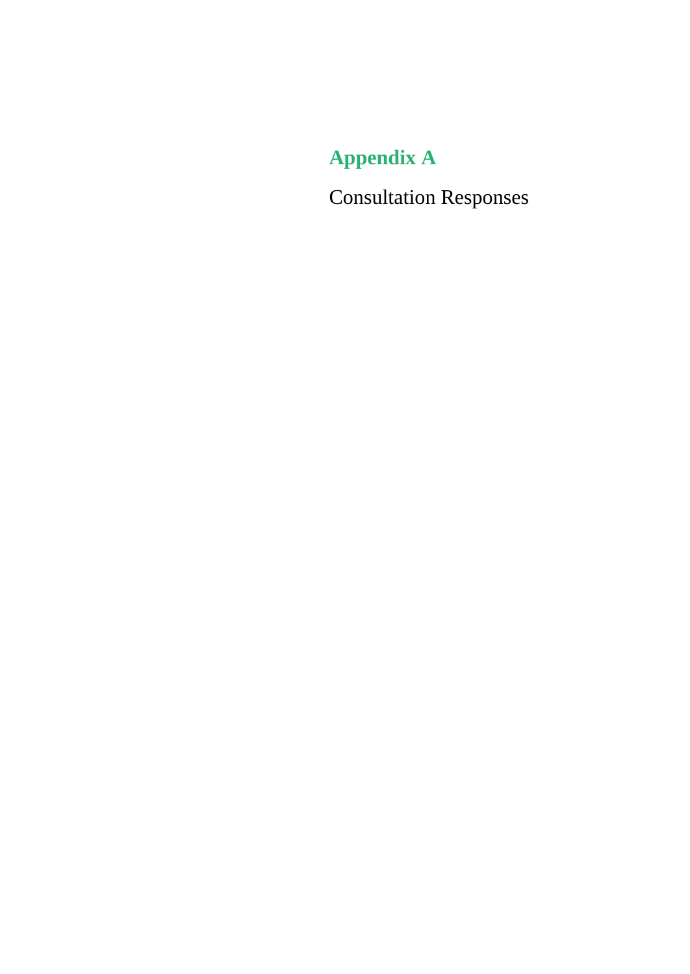<span id="page-11-0"></span>**Appendix A**

<span id="page-11-1"></span>Consultation Responses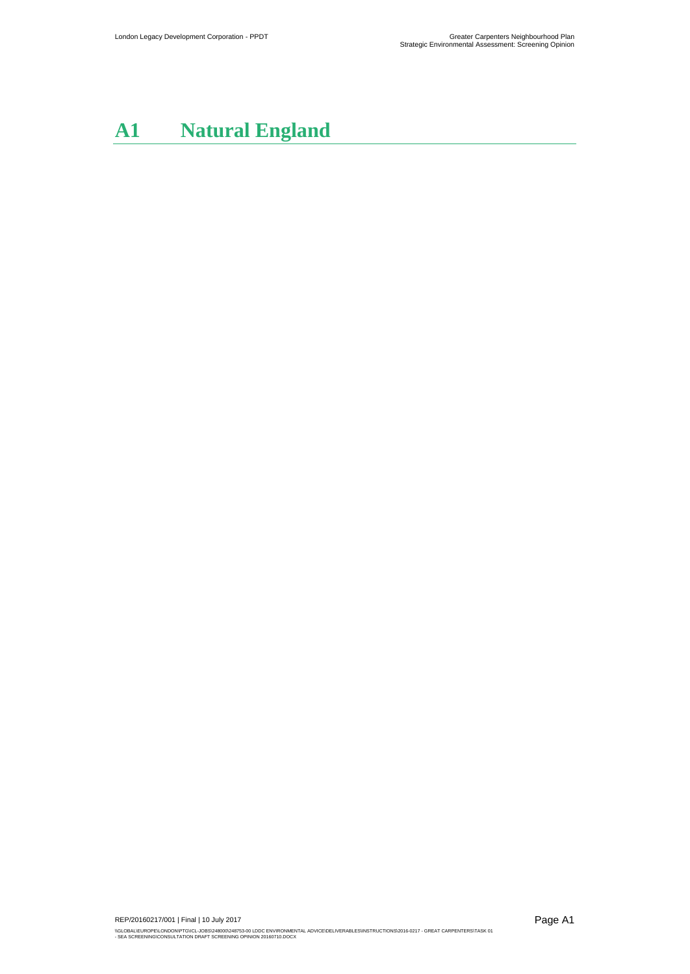# **A1 Natural England**

REP/20160217/001 | Final | 10 July 2017 NGLOBAL\EUROPE\LONDON\PTG\ICL-JOBS\248000'248753-00 LDDC ENVIRONMENTAL ADVICE\DELIVERABLES\INSTRUCTIONS\2016-0217 - GREAT CARPENTERS\TASK 01<br>- SEA SCREENING\CONSULTATION DRAFT SCREENING OPINION 20160710.DOCX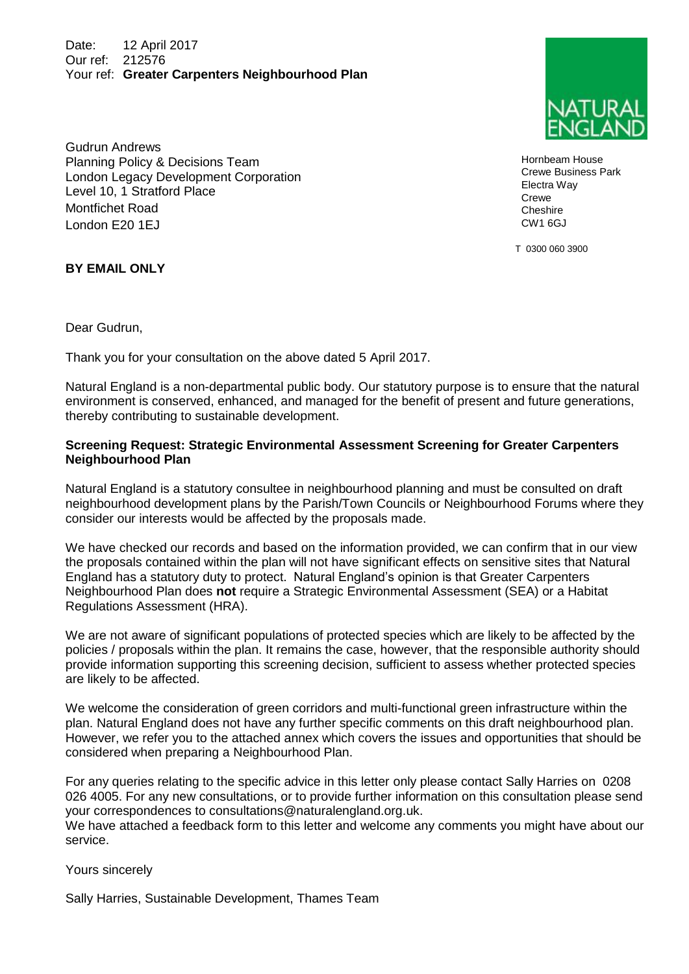Date: 12 April 2017 Our ref: 212576 Your ref: **Greater Carpenters Neighbourhood Plan** 

Gudrun Andrews Planning Policy & Decisions Team London Legacy Development Corporation Level 10, 1 Stratford Place Montfichet Road London E20 1EJ

Hornbeam House Crewe Business Park Electra Way Crewe **Cheshire** 

T 0300 060 3900

CW1 6GJ

#### **BY EMAIL ONLY**

Dear Gudrun,

Thank you for your consultation on the above dated 5 April 2017.

Natural England is a non-departmental public body. Our statutory purpose is to ensure that the natural environment is conserved, enhanced, and managed for the benefit of present and future generations, thereby contributing to sustainable development.

#### **Screening Request: Strategic Environmental Assessment Screening for Greater Carpenters Neighbourhood Plan**

Natural England is a statutory consultee in neighbourhood planning and must be consulted on draft neighbourhood development plans by the Parish/Town Councils or Neighbourhood Forums where they consider our interests would be affected by the proposals made.

We have checked our records and based on the information provided, we can confirm that in our view the proposals contained within the plan will not have significant effects on sensitive sites that Natural England has a statutory duty to protect. Natural England's opinion is that Greater Carpenters Neighbourhood Plan does **not** require a Strategic Environmental Assessment (SEA) or a Habitat Regulations Assessment (HRA).

We are not aware of significant populations of protected species which are likely to be affected by the policies / proposals within the plan. It remains the case, however, that the responsible authority should provide information supporting this screening decision, sufficient to assess whether protected species are likely to be affected.

We welcome the consideration of green corridors and multi-functional green infrastructure within the plan. Natural England does not have any further specific comments on this draft neighbourhood plan. However, we refer you to the attached annex which covers the issues and opportunities that should be considered when preparing a Neighbourhood Plan.

For any queries relating to the specific advice in this letter only please contact Sally Harries on 0208 026 4005. For any new consultations, or to provide further information on this consultation please send your correspondences to [consultations@naturalengland.org.uk.](mailto:consultations@naturalengland.org.uk)

We have attached a feedback form to this letter and welcome any comments you might have about our service.

Yours sincerely

Sally Harries, Sustainable Development, Thames Team

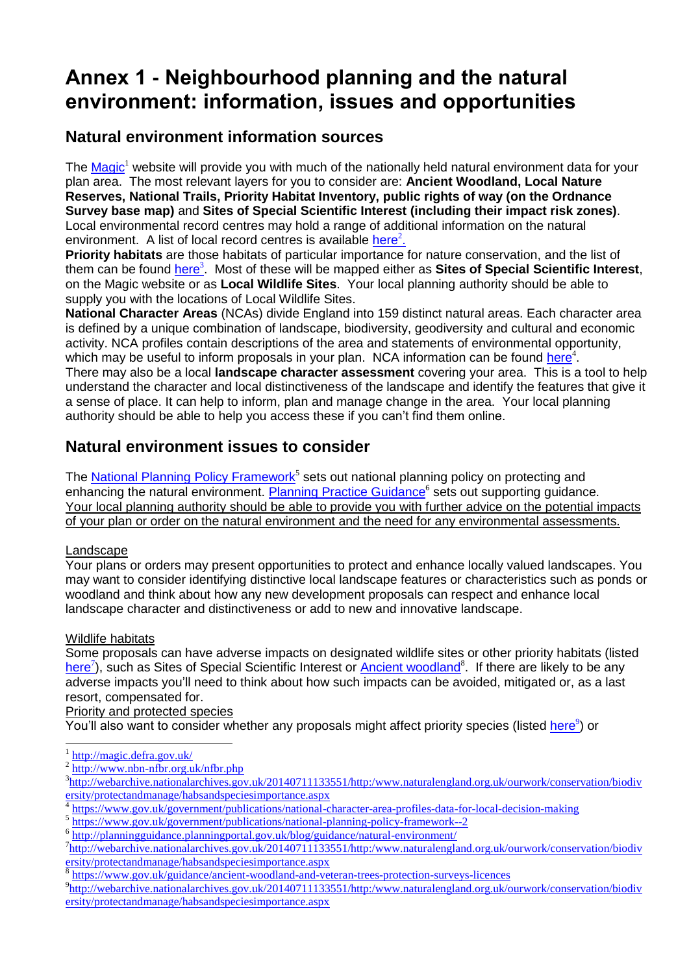## **Annex 1 - Neighbourhood planning and the natural environment: information, issues and opportunities**

### **Natural environment information sources**

The  $\text{Magic}^1$  website will provide you with much of the nationally held natural environment data for your plan area. The most relevant layers for you to consider are: **Ancient Woodland, Local Nature Reserves, National Trails, Priority Habitat Inventory, public rights of way (on the Ordnance Survey base map)** and **Sites of Special Scientific Interest (including their impact risk zones)**. Local environmental record centres may hold a range of additional information on the natural environment. A list of local record centres is available [here](http://www.nbn-nfbr.org.uk/nfbr.php)<sup>2</sup>.

**Priority habitats** are those habitats of particular importance for nature conservation, and the list of them can be found *[here](http://webarchive.nationalarchives.gov.uk/20140711133551/http:/www.naturalengland.org.uk/ourwork/conservation/biodiversity/protectandmanage/habsandspeciesimportance.aspx)<sup>3</sup>.* Most of these will be mapped either as **Sites of Special Scientific Interest**, on the Magic website or as **Local Wildlife Sites**. Your local planning authority should be able to supply you with the locations of Local Wildlife Sites.

**National Character Areas** (NCAs) divide England into 159 distinct natural areas. Each character area is defined by a unique combination of landscape, biodiversity, geodiversity and cultural and economic activity. NCA profiles contain descriptions of the area and statements of environmental opportunity, which may be useful to inform proposals in your plan. NCA information can be found [here](https://www.gov.uk/government/publications/national-character-area-profiles-data-for-local-decision-making)<sup>4</sup>.

There may also be a local **landscape character assessment** covering your area. This is a tool to help understand the character and local distinctiveness of the landscape and identify the features that give it a sense of place. It can help to inform, plan and manage change in the area. Your local planning authority should be able to help you access these if you can't find them online.

### **Natural environment issues to consider**

The [National Planning Policy Framework](https://www.gov.uk/government/publications/national-planning-policy-framework--2)<sup>5</sup> sets out national planning policy on protecting and enhancing the natural environment. [Planning Practice Guidance](http://planningguidance.planningportal.gov.uk/blog/guidance/natural-environment/)<sup>6</sup> sets out supporting guidance. Your local planning authority should be able to provide you with further advice on the potential impacts of your plan or order on the natural environment and the need for any environmental assessments.

### Landscape

Your plans or orders may present opportunities to protect and enhance locally valued landscapes. You may want to consider identifying distinctive local landscape features or characteristics such as ponds or woodland and think about how any new development proposals can respect and enhance local landscape character and distinctiveness or add to new and innovative landscape.

### Wildlife habitats

-

Some proposals can have adverse impacts on designated wildlife sites or other priority habitats (listed [here](http://webarchive.nationalarchives.gov.uk/20140711133551/http:/www.naturalengland.org.uk/ourwork/conservation/biodiversity/protectandmanage/habsandspeciesimportance.aspx)<sup>7</sup>), such as Sites of Special Scientific Interest or **Ancient woodland<sup>8</sup>.** If there are likely to be any adverse impacts you'll need to think about how such impacts can be avoided, mitigated or, as a last resort, compensated for.

### Priority and protected species

You'll also want to consider whether any proposals might affect priority species (listed [here](http://webarchive.nationalarchives.gov.uk/20140711133551/http:/www.naturalengland.org.uk/ourwork/conservation/biodiversity/protectandmanage/habsandspeciesimportance.aspx)<sup>9</sup>) or

6 <http://planningguidance.planningportal.gov.uk/blog/guidance/natural-environment/>

<sup>1</sup> <http://magic.defra.gov.uk/>

<sup>2</sup> <http://www.nbn-nfbr.org.uk/nfbr.php>

<sup>&</sup>lt;sup>3</sup>[http://webarchive.nationalarchives.gov.uk/20140711133551/http:/www.naturalengland.org.uk/ourwork/conservation/biodiv](http://webarchive.nationalarchives.gov.uk/20140711133551/http:/www.naturalengland.org.uk/ourwork/conservation/biodiversity/protectandmanage/habsandspeciesimportance.aspx) [ersity/protectandmanage/habsandspeciesimportance.aspx](http://webarchive.nationalarchives.gov.uk/20140711133551/http:/www.naturalengland.org.uk/ourwork/conservation/biodiversity/protectandmanage/habsandspeciesimportance.aspx)

<sup>4</sup> <https://www.gov.uk/government/publications/national-character-area-profiles-data-for-local-decision-making>

<sup>5</sup> <https://www.gov.uk/government/publications/national-planning-policy-framework--2>

<sup>&</sup>lt;sup>7</sup>[http://webarchive.nationalarchives.gov.uk/20140711133551/http:/www.naturalengland.org.uk/ourwork/conservation/biodiv](http://webarchive.nationalarchives.gov.uk/20140711133551/http:/www.naturalengland.org.uk/ourwork/conservation/biodiversity/protectandmanage/habsandspeciesimportance.aspx) [ersity/protectandmanage/habsandspeciesimportance.aspx](http://webarchive.nationalarchives.gov.uk/20140711133551/http:/www.naturalengland.org.uk/ourwork/conservation/biodiversity/protectandmanage/habsandspeciesimportance.aspx)

<sup>8</sup> <https://www.gov.uk/guidance/ancient-woodland-and-veteran-trees-protection-surveys-licences>

<sup>&</sup>lt;sup>9</sup>[http://webarchive.nationalarchives.gov.uk/20140711133551/http:/www.naturalengland.org.uk/ourwork/conservation/biodiv](http://webarchive.nationalarchives.gov.uk/20140711133551/http:/www.naturalengland.org.uk/ourwork/conservation/biodiversity/protectandmanage/habsandspeciesimportance.aspx) [ersity/protectandmanage/habsandspeciesimportance.aspx](http://webarchive.nationalarchives.gov.uk/20140711133551/http:/www.naturalengland.org.uk/ourwork/conservation/biodiversity/protectandmanage/habsandspeciesimportance.aspx)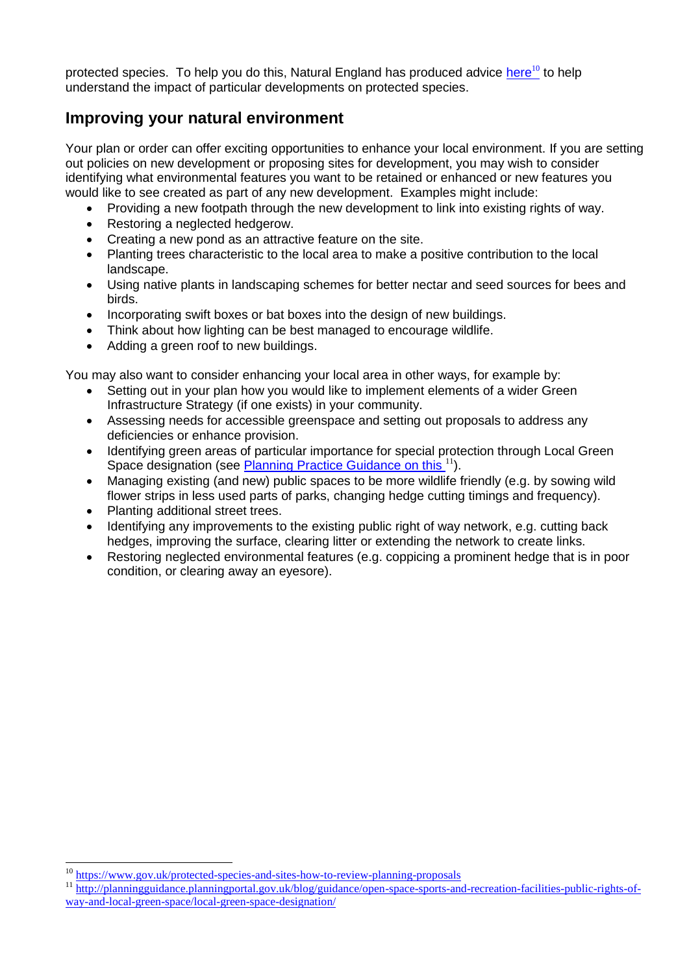protected species. To help you do this, Natural England has produced advice [here](https://www.gov.uk/protected-species-and-sites-how-to-review-planning-proposals)<sup>10</sup> to help understand the impact of particular developments on protected species.

### **Improving your natural environment**

Your plan or order can offer exciting opportunities to enhance your local environment. If you are setting out policies on new development or proposing sites for development, you may wish to consider identifying what environmental features you want to be retained or enhanced or new features you would like to see created as part of any new development. Examples might include:

- Providing a new footpath through the new development to link into existing rights of way.
- Restoring a neglected hedgerow.
- Creating a new pond as an attractive feature on the site.
- Planting trees characteristic to the local area to make a positive contribution to the local landscape.
- Using native plants in landscaping schemes for better nectar and seed sources for bees and birds.
- Incorporating swift boxes or bat boxes into the design of new buildings.
- Think about how lighting can be best managed to encourage wildlife.
- Adding a green roof to new buildings.

You may also want to consider enhancing your local area in other ways, for example by:

- Setting out in your plan how you would like to implement elements of a wider Green Infrastructure Strategy (if one exists) in your community.
- Assessing needs for accessible greenspace and setting out proposals to address any deficiencies or enhance provision.
- Identifying green areas of particular importance for special protection through Local Green Space designation (see [Planning Practice Guidance on this](http://planningguidance.planningportal.gov.uk/blog/guidance/open-space-sports-and-recreation-facilities-public-rights-of-way-and-local-green-space/local-green-space-designation/) <sup>11</sup>).
- Managing existing (and new) public spaces to be more wildlife friendly (e.g. by sowing wild flower strips in less used parts of parks, changing hedge cutting timings and frequency).
- Planting additional street trees.
- Identifying any improvements to the existing public right of way network, e.g. cutting back hedges, improving the surface, clearing litter or extending the network to create links.
- Restoring neglected environmental features (e.g. coppicing a prominent hedge that is in poor condition, or clearing away an eyesore).

<sup>10</sup> <https://www.gov.uk/protected-species-and-sites-how-to-review-planning-proposals>

<sup>11</sup> [http://planningguidance.planningportal.gov.uk/blog/guidance/open-space-sports-and-recreation-facilities-public-rights-of](http://planningguidance.planningportal.gov.uk/blog/guidance/open-space-sports-and-recreation-facilities-public-rights-of-way-and-local-green-space/local-green-space-designation/)[way-and-local-green-space/local-green-space-designation/](http://planningguidance.planningportal.gov.uk/blog/guidance/open-space-sports-and-recreation-facilities-public-rights-of-way-and-local-green-space/local-green-space-designation/)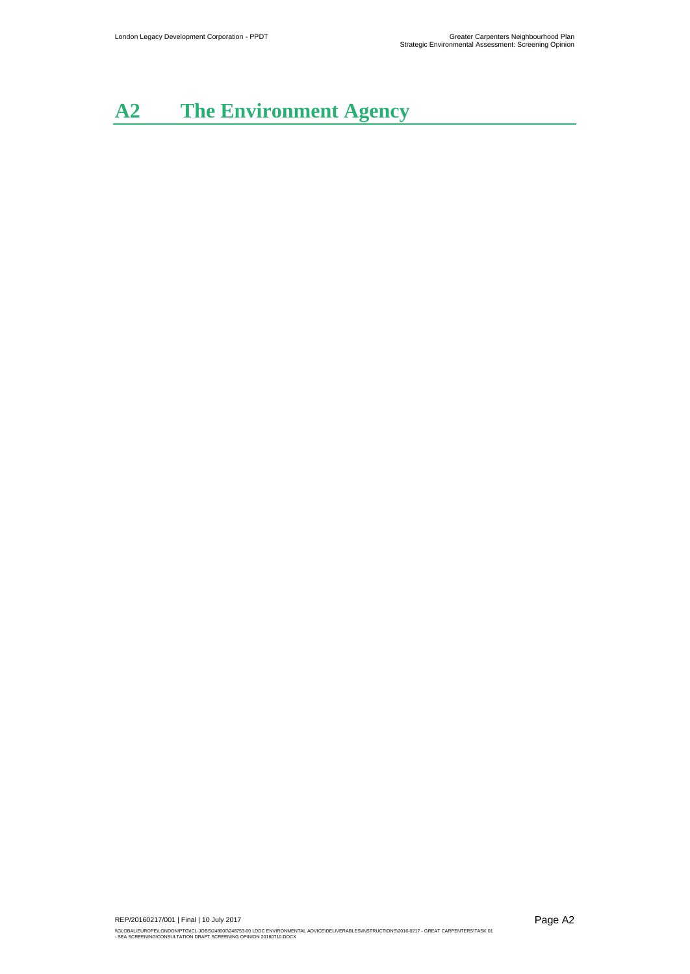# **A2 The Environment Agency**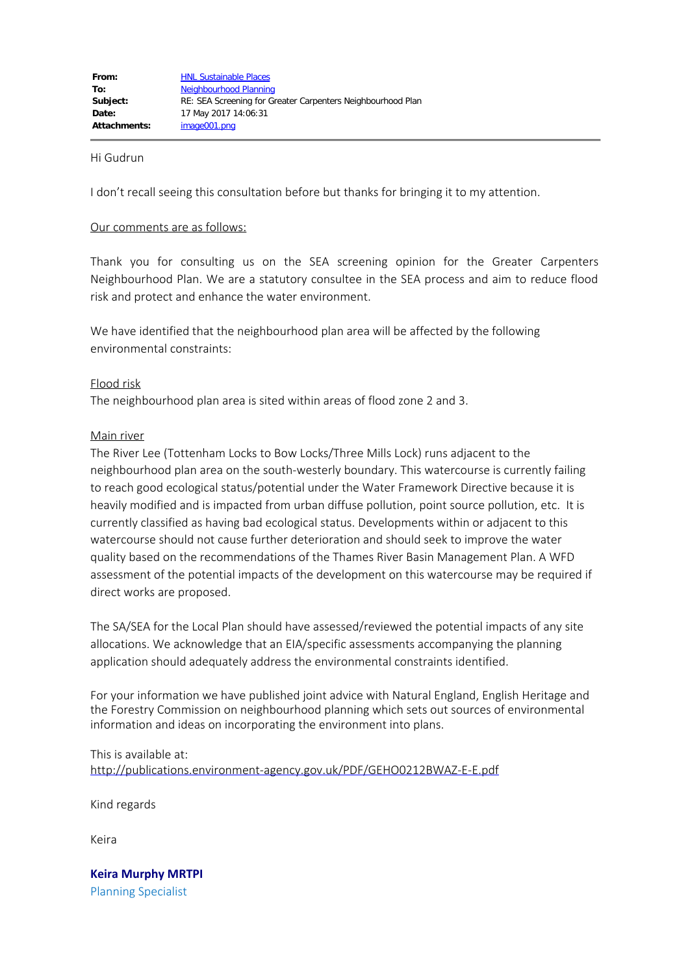#### Hi Gudrun

I don't recall seeing this consultation before but thanks for bringing it to my attention.

#### Our comments are as follows:

Thank you for consulting us on the SEA screening opinion for the Greater Carpenters Neighbourhood Plan. We are a statutory consultee in the SEA process and aim to reduce flood risk and protect and enhance the water environment.

We have identified that the neighbourhood plan area will be affected by the following environmental constraints:

#### Flood risk

The neighbourhood plan area is sited within areas of flood zone 2 and 3.

#### Main river

The River Lee (Tottenham Locks to Bow Locks/Three Mills Lock) runs adjacent to the neighbourhood plan area on the south-westerly boundary. This watercourse is currently failing to reach good ecological status/potential under the Water Framework Directive because it is heavily modified and is impacted from urban diffuse pollution, point source pollution, etc. It is currently classified as having bad ecological status. Developments within or adjacent to this watercourse should not cause further deterioration and should seek to improve the water quality based on the recommendations of the Thames River Basin Management Plan. A WFD assessment of the potential impacts of the development on this watercourse may be required if direct works are proposed.

The SA/SEA for the Local Plan should have assessed/reviewed the potential impacts of any site allocations. We acknowledge that an EIA/specific assessments accompanying the planning application should adequately address the environmental constraints identified.

For your information we have published joint advice with Natural England, English Heritage and the Forestry Commission on neighbourhood planning which sets out sources of environmental information and ideas on incorporating the environment into plans.

This is available at: <http://publications.environment-agency.gov.uk/PDF/GEHO0212BWAZ-E-E.pdf>

Kind regards

Keira

**Keira Murphy MRTPI** Planning Specialist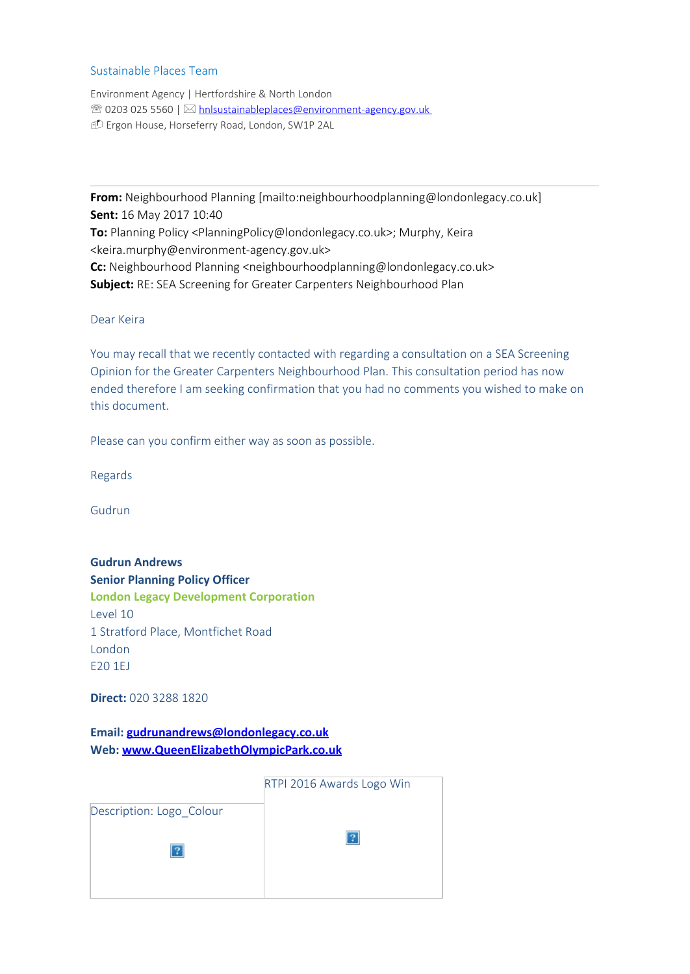#### Sustainable Places Team

Environment Agency | Hertfordshire & North London <sup>2</sup> 0203 025 5560 |  $\boxtimes$  [hnlsustainableplaces@environment-agency.gov.uk](mailto:hnlsustainableplaces@environment-agency.gov.uk) - Ergon House, Horseferry Road, London, SW1P 2AL

**From:** Neighbourhood Planning [mailto:neighbourhoodplanning@londonlegacy.co.uk] **Sent:** 16 May 2017 10:40 **To:** Planning Policy <PlanningPolicy@londonlegacy.co.uk>; Murphy, Keira <keira.murphy@environment-agency.gov.uk> **Cc:** Neighbourhood Planning <neighbourhoodplanning@londonlegacy.co.uk> **Subject:** RE: SEA Screening for Greater Carpenters Neighbourhood Plan

#### Dear Keira

You may recall that we recently contacted with regarding a consultation on a SEA Screening Opinion for the Greater Carpenters Neighbourhood Plan. This consultation period has now ended therefore I am seeking confirmation that you had no comments you wished to make on this document.

Please can you confirm either way as soon as possible.

Regards

Gudrun

**Gudrun Andrews Senior Planning Policy Officer London Legacy Development Corporation** Level 10 1 Stratford Place, Montfichet Road London E20 1EJ

**Direct:** 020 3288 1820

**Email: [gudrunandrews@londonlegacy.co.uk](mailto:gudrunandrews@londonlegacy.co.uk) Web: [www.QueenElizabethOlympicPark.co.uk](http://www.londonlegacy.co.uk/)**

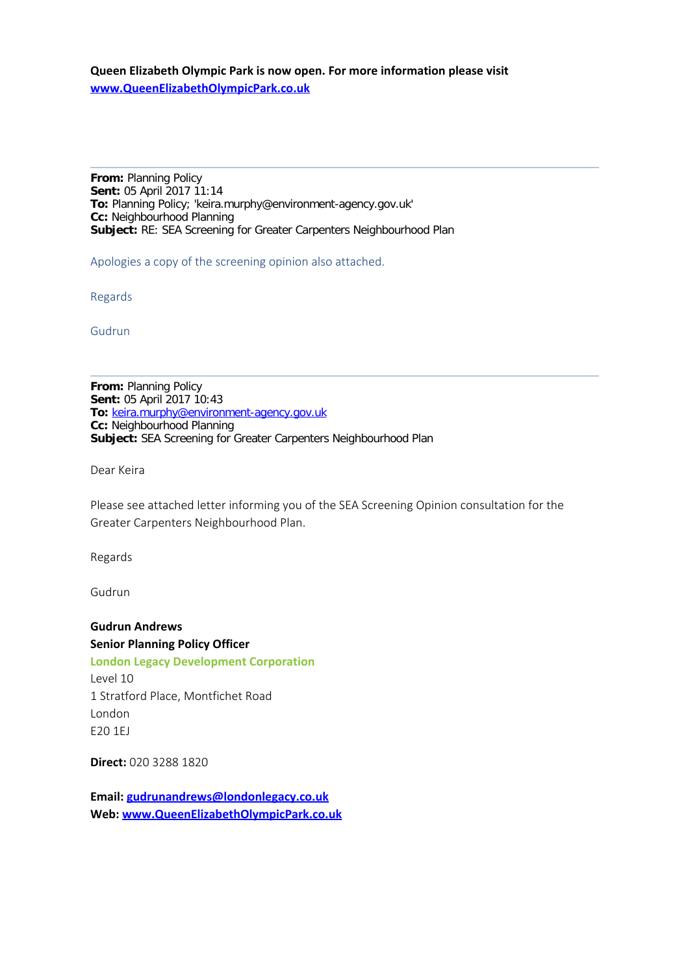**Queen Elizabeth Olympic Park is now open. For more information please visit [www.QueenElizabethOlympicPark.co.uk](http://www.londonlegacy.co.uk/)**

**From:** Planning Policy **Sent:** 05 April 2017 11:14 **To:** Planning Policy; 'keira.murphy@environment-agency.gov.uk' **Cc:** Neighbourhood Planning **Subject:** RE: SEA Screening for Greater Carpenters Neighbourhood Plan

Apologies a copy of the screening opinion also attached.

Regards

Gudrun

**From:** Planning Policy **Sent:** 05 April 2017 10:43 **To:** [keira.murphy@environment-agency.gov.uk](mailto:keira.murphy@environment-agency.gov.uk) **Cc:** Neighbourhood Planning **Subject:** SEA Screening for Greater Carpenters Neighbourhood Plan

Dear Keira

Please see attached letter informing you of the SEA Screening Opinion consultation for the Greater Carpenters Neighbourhood Plan.

Regards

Gudrun

**Gudrun Andrews Senior Planning Policy Officer London Legacy Development Corporation** Level 10 1 Stratford Place, Montfichet Road London E20 1EJ

**Direct:** 020 3288 1820

**Email: [gudrunandrews@londonlegacy.co.uk](mailto:gudrunandrews@londonlegacy.co.uk) Web: [www.QueenElizabethOlympicPark.co.uk](http://www.londonlegacy.co.uk/)**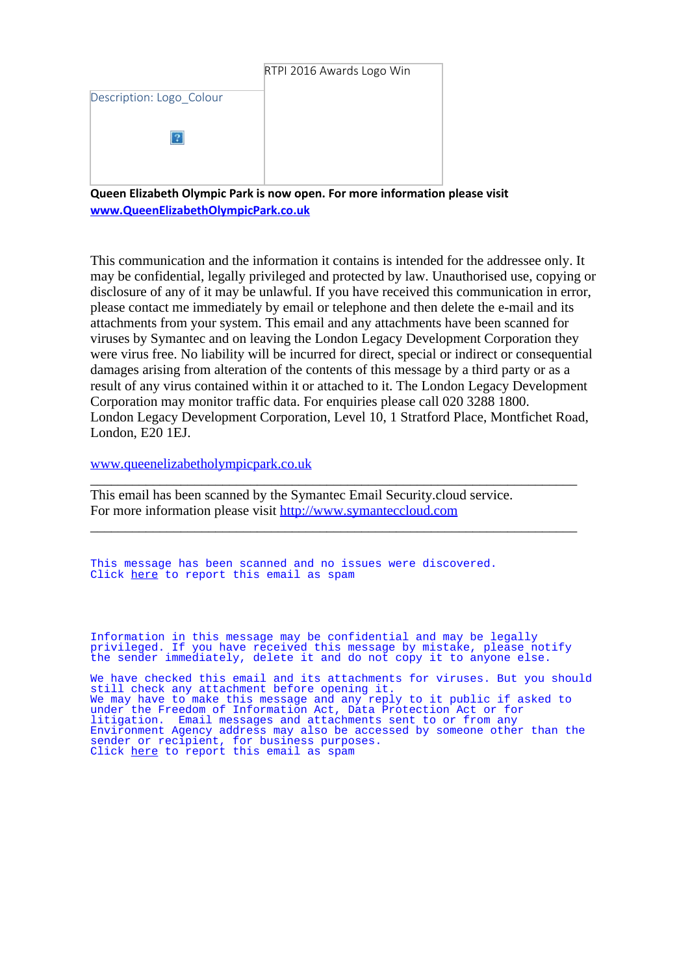|                          | RTPI 2016 Awards Logo Win |
|--------------------------|---------------------------|
| Description: Logo_Colour |                           |
|                          |                           |
|                          |                           |

**Queen Elizabeth Olympic Park is now open. For more information please visit [www.QueenElizabethOlympicPark.co.uk](http://www.londonlegacy.co.uk/)**

This communication and the information it contains is intended for the addressee only. It may be confidential, legally privileged and protected by law. Unauthorised use, copying or disclosure of any of it may be unlawful. If you have received this communication in error, please contact me immediately by email or telephone and then delete the e-mail and its attachments from your system. This email and any attachments have been scanned for viruses by Symantec and on leaving the London Legacy Development Corporation they were virus free. No liability will be incurred for direct, special or indirect or consequential damages arising from alteration of the contents of this message by a third party or as a result of any virus contained within it or attached to it. The London Legacy Development Corporation may monitor traffic data. For enquiries please call 020 3288 1800. London Legacy Development Corporation, Level 10, 1 Stratford Place, Montfichet Road, London, E20 1EJ.

[www.queenelizabetholympicpark.co.uk](http://www.queenelizabetholympicpark.co.uk/)

This email has been scanned by the Symantec Email Security.cloud service. For more information please visit [http://www.symanteccloud.com](http://www.symanteccloud.com/)

This message has been scanned and no issues were discovered. Click [here](https://mail1.environment-agency.gov.uk:9449/pem/pages/digestProcess/digestProcess.jsf?content=5181f377be9176fc35c1b31c3bd072e0d97ac2a1590cd7ce9fe01c9d6e2a0e022b54b10546d5dce68a56e6a9ed0da9b49fd76bdfc4252440da12ca4558293c2aba8697bf5dba0aea5d2d5d75f29dc69e4df5bbe5ba952fb7cd300f091dc0e984200a1153c1f11f3d728098bf7b9a4632bd66cfe06606eb1d4be67ea23447dd2e31df75b0fb30ccaa96b59f54823be52014ccedc59f369461c70feb24656b7df8) to report this email as spam

Information in this message may be confidential and may be legally privileged. If you have received this message by mistake, please notify the sender immediately, delete it and do not copy it to anyone else.

\_\_\_\_\_\_\_\_\_\_\_\_\_\_\_\_\_\_\_\_\_\_\_\_\_\_\_\_\_\_\_\_\_\_\_\_\_\_\_\_\_\_\_\_\_\_\_\_\_\_\_\_\_\_\_\_\_\_\_\_\_\_\_\_\_\_\_\_\_\_

\_\_\_\_\_\_\_\_\_\_\_\_\_\_\_\_\_\_\_\_\_\_\_\_\_\_\_\_\_\_\_\_\_\_\_\_\_\_\_\_\_\_\_\_\_\_\_\_\_\_\_\_\_\_\_\_\_\_\_\_\_\_\_\_\_\_\_\_\_\_

We have checked this email and its attachments for viruses. But you should still check any attachment before opening it. We may have to make this message and any reply to it public if asked to under the Freedom of Information Act, Data Protection Act or for litigation. Email messages and attachments sent to or from any Environment Agency address may also be accessed by someone other than the sender or recipient, for business purposes. Click <u>[here](https://mail1.environment-agency.gov.uk:9449/pem/pages/digestProcess/digestProcess.jsf?content=5181f377be9176fc17e13f9630fb3800520200897312206f31d813e859887f49c9ec2763a7ec049dc669394614e2bd95423d9bcb48223affd832b965994d31b179f7f95bb16b47d94949b3c8a632df6a70567109e54b4c03c06e954eb995e8e7579db62f3e2099dceb1f914f4c19f7a477ddb68acf08b693b133f29ef8c40e3bb167d3d0f154a460f888906606dcddf3c97c6dcca8e86e3b84eb33f3fa368c3d)</u> to report this email as spam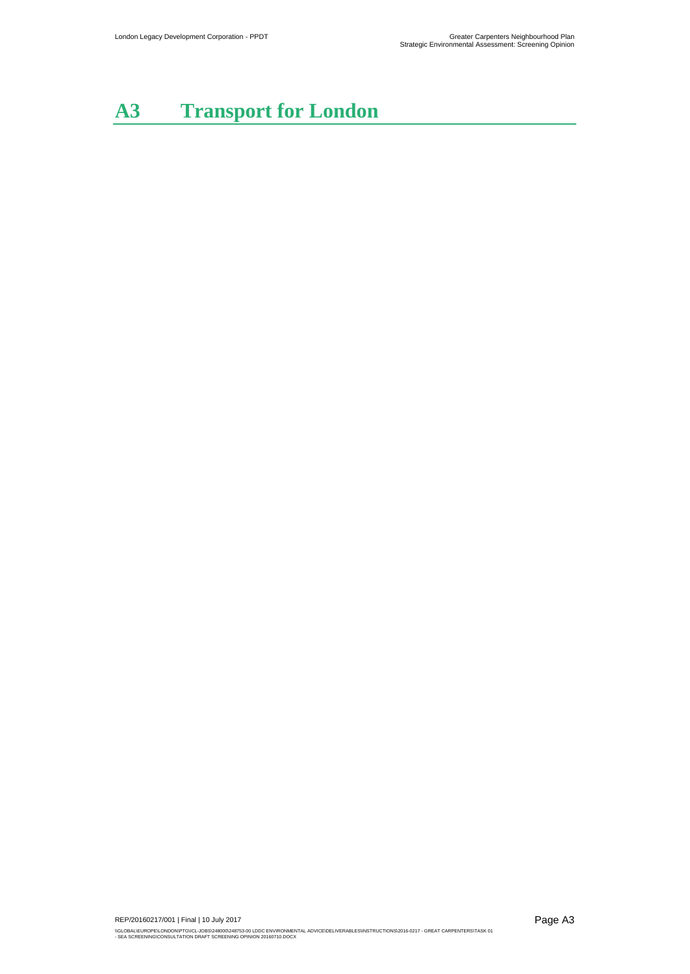# **A3 Transport for London**